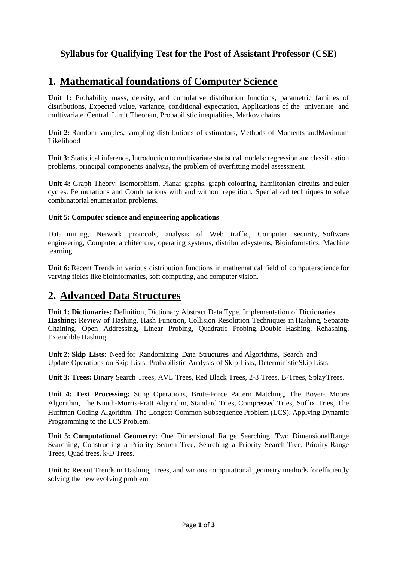# **Syllabus for Qualifying Test for the Post of Assistant Professor (CSE)**

# **1. Mathematical foundations of Computer Science**

**Unit 1:** Probability mass, density, and cumulative distribution functions, parametric families of distributions, Expected value, variance, conditional expectation, Applications of the univariate and multivariate Central Limit Theorem, Probabilistic inequalities, Markov chains

**Unit 2:** Random samples, sampling distributions of estimators**,** Methods of Moments andMaximum Likelihood

**Unit 3:** Statistical inference**,** Introduction to multivariate statistical models: regression andclassification problems, principal components analysis**,** the problem of overfitting model assessment.

**Unit 4:** Graph Theory: Isomorphism, Planar graphs, graph colouring, hamiltonian circuits and euler cycles. Permutations and Combinations with and without repetition. Specialized techniques to solve combinatorial enumeration problems.

## **Unit 5: Computer science and engineering applications**

Data mining, Network protocols, analysis of Web traffic, Computer security, Software engineering, Computer architecture, operating systems, distributedsystems, Bioinformatics, Machine learning.

**Unit 6:** Recent Trends in various distribution functions in mathematical field of computerscience for varying fields like bioinformatics, soft computing, and computer vision.

# **2. Advanced Data Structures**

**Unit 1: Dictionaries:** Definition, Dictionary Abstract Data Type, Implementation of Dictionaries. **Hashing:** Review of Hashing, Hash Function, Collision Resolution Techniques in Hashing, Separate Chaining, Open Addressing, Linear Probing, Quadratic Probing, Double Hashing, Rehashing, Extendible Hashing.

**Unit 2: Skip Lists:** Need for Randomizing Data Structures and Algorithms, Search and Update Operations on Skip Lists, Probabilistic Analysis of Skip Lists, DeterministicSkip Lists.

**Unit 3: Trees:** Binary Search Trees, AVL Trees, Red Black Trees, 2-3 Trees, B-Trees, SplayTrees.

**Unit 4: Text Processing:** Sting Operations, Brute-Force Pattern Matching, The Boyer- Moore Algorithm, The Knuth-Morris-Pratt Algorithm, Standard Tries, Compressed Tries, Suffix Tries, The Huffman Coding Algorithm, The Longest Common Subsequence Problem (LCS), Applying Dynamic Programming to the LCS Problem.

**Unit 5: Computational Geometry:** One Dimensional Range Searching, Two DimensionalRange Searching, Constructing a Priority Search Tree, Searching a Priority Search Tree, Priority Range Trees, Quad trees, k-D Trees.

**Unit 6:** Recent Trends in Hashing, Trees, and various computational geometry methods for efficiently solving the new evolving problem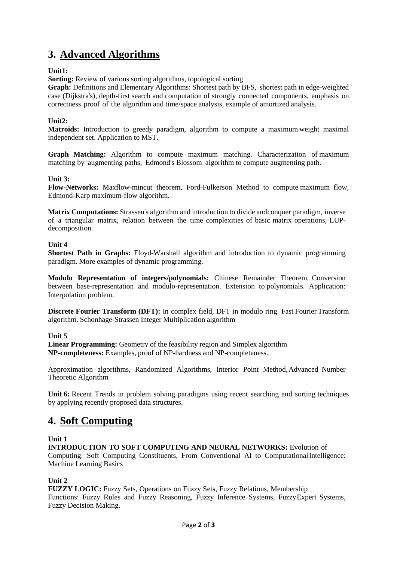# **3. Advanced Algorithms**

## **Unit1:**

**Sorting:** Review of various sorting algorithms, topological sorting

**Graph:** Definitions and Elementary Algorithms: Shortest path by BFS, shortest path in edge-weighted case (Dijkstra's), depth-first search and computation of strongly connected components, emphasis on correctness proof of the algorithm and time/space analysis, example of amortized analysis.

## **Unit2:**

**Matroids:** Introduction to greedy paradigm, algorithm to compute a maximum weight maximal independent set. Application to MST.

**Graph Matching:** Algorithm to compute maximum matching. Characterization of maximum matching by augmenting paths, Edmond's Blossom algorithm to compute augmenting path.

#### **Unit 3:**

**Flow-Networks:** Maxflow-mincut theorem, Ford-Fulkerson Method to compute maximum flow, Edmond-Karp maximum-flow algorithm.

**Matrix Computations:** Strassen's algorithm and introduction to divide andconquer paradigm, inverse of a triangular matrix, relation between the time complexities of basic matrix operations, LUPdecomposition.

#### **Unit 4**

**Shortest Path in Graphs:** Floyd-Warshall algorithm and introduction to dynamic programming paradigm. More examples of dynamic programming.

**Modulo Representation of integers/polynomials:** Chinese Remainder Theorem, Conversion between base-representation and modulo-representation. Extension to polynomials. Application: Interpolation problem.

**Discrete Fourier Transform (DFT):** In complex field, DFT in modulo ring. Fast Fourier Transform algorithm. Schonhage-Strassen Integer Multiplication algorithm

#### **Unit 5**

**Linear Programming:** Geometry of the feasibility region and Simplex algorithm **NP-completeness:** Examples, proof of NP-hardness and NP-completeness.

Approximation algorithms, Randomized Algorithms, Interior Point Method,Advanced Number Theoretic Algorithm

**Unit 6:** Recent Trends in problem solving paradigms using recent searching and sorting techniques by applying recently proposed data structures.

# **4. Soft Computing**

#### **Unit 1**

**INTRODUCTION TO SOFT COMPUTING AND NEURAL NETWORKS:** Evolution of Computing: Soft Computing Constituents, From Conventional AI to ComputationalIntelligence: Machine Learning Basics

## **Unit 2**

**FUZZY LOGIC:** Fuzzy Sets, Operations on Fuzzy Sets, Fuzzy Relations, Membership Functions: Fuzzy Rules and Fuzzy Reasoning, Fuzzy Inference Systems, FuzzyExpert Systems, Fuzzy Decision Making.